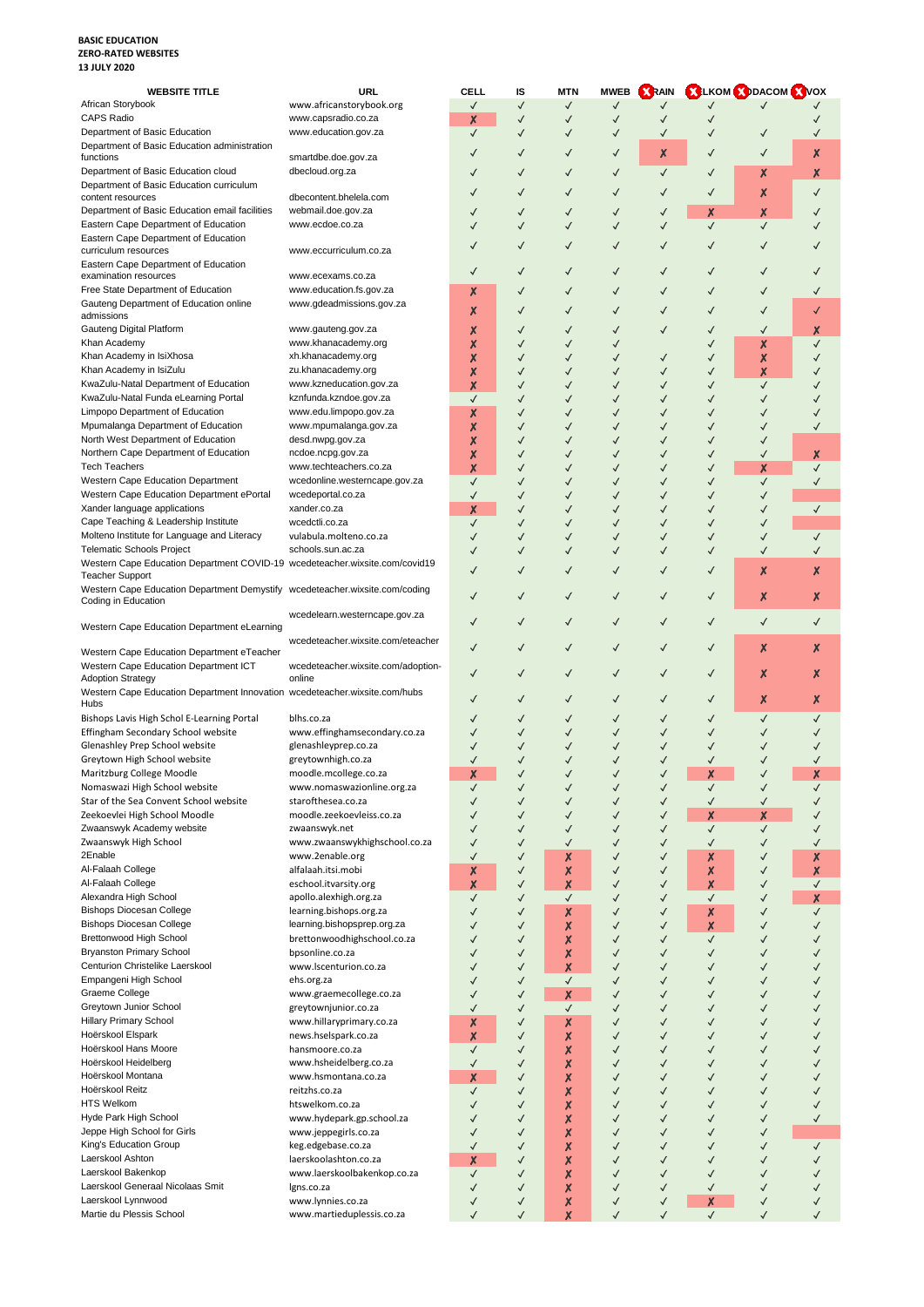| <b>WEBSITE TITLE</b>                                                        | URL                                | CELL         | IS           | <b>MTN</b>   | <b>MWEB</b>  | <b>X</b> RAIN | <b>XELKOM X DDACOM X VOX</b> |              |              |
|-----------------------------------------------------------------------------|------------------------------------|--------------|--------------|--------------|--------------|---------------|------------------------------|--------------|--------------|
| African Storybook                                                           | www.africanstorybook.org           | √            | √            | √            | √            |               |                              |              |              |
| <b>CAPS Radio</b>                                                           | www.capsradio.co.za                | X            | ✓            | √            | √            | √             | √                            |              |              |
| Department of Basic Education                                               | www.education.gov.za               | √            | √            | √            | √            | ✓             |                              | $\checkmark$ | √            |
| Department of Basic Education administration                                |                                    |              | ✓            | √            | √            | X             | √                            | √            | Х            |
| functions                                                                   | smartdbe.doe.gov.za                |              |              |              |              |               |                              |              |              |
| Department of Basic Education cloud                                         | dbecloud.org.za                    |              | √            | √            | √            | ✓             | √                            | Х            | х            |
| Department of Basic Education curriculum                                    |                                    |              | √            | √            | √            | √             | ✓                            | Х            | ✓            |
| content resources                                                           | dbecontent.bhelela.com             |              |              |              |              |               |                              |              |              |
| Department of Basic Education email facilities                              | webmail.doe.gov.za                 |              | √            | $\checkmark$ | √            | √             | Х                            | Х            |              |
| Eastern Cape Department of Education                                        | www.ecdoe.co.za                    | √            | ✓            | √            | √            | ✓             | √                            | √            |              |
| Eastern Cape Department of Education<br>curriculum resources                | www.eccurriculum.co.za             |              | ✓            | √            | ✓            | √             | √                            | √            | ✓            |
| Eastern Cape Department of Education                                        |                                    |              |              |              |              |               |                              |              |              |
| examination resources                                                       | www.ecexams.co.za                  | √            | ✓            | √            | √            | √             | √                            | √            |              |
| Free State Department of Education                                          | www.education.fs.gov.za            | Х            | ✓            | √            | √            | √             | √                            | √            | ✓            |
| Gauteng Department of Education online                                      | www.gdeadmissions.gov.za           |              |              |              |              |               |                              |              |              |
| admissions                                                                  |                                    | Х            | √            | √            | √            | √             | √                            | √            | √            |
| Gauteng Digital Platform                                                    | www.gauteng.gov.za                 | Х            | ✓            | √            | √            | √             | √                            | √            | х            |
| Khan Academy                                                                | www.khanacademy.org                | X            | ✓            | √            | √            |               | √                            | X            | √            |
| Khan Academy in IsiXhosa                                                    | xh.khanacademy.org                 | X            | ✓            | √            | √            | √             | √                            | Х            | ✓            |
| Khan Academy in IsiZulu                                                     | zu.khanacademy.org                 | X            | √            | √            | √            | √             | √                            | X            |              |
| KwaZulu-Natal Department of Education                                       | www.kzneducation.gov.za            | X            | √            | √            | √            | √             | √                            | √            | ✓            |
| KwaZulu-Natal Funda eLearning Portal                                        | kznfunda.kzndoe.gov.za             | ✓            | ✓            | √            | √            | √             | √                            | √            |              |
| Limpopo Department of Education                                             | www.edu.limpopo.gov.za             | X            | √            | √            | √            | √             | √                            | √            | ✓            |
| Mpumalanga Department of Education                                          | www.mpumalanga.gov.za              | X            | ✓            | √            | √            | √             | √                            | √            | √            |
| North West Department of Education                                          | desd.nwpg.gov.za                   | X            | √            | √            | √            | √             | √                            | √            |              |
| Northern Cape Department of Education                                       | ncdoe.ncpg.gov.za                  | X            | ✓            | √            | √            |               | √                            | √            | X            |
| Tech Teachers                                                               | www.techteachers.co.za             | X            | ✓            | √            | √            | ✓             | √                            | X            | √            |
| Western Cape Education Department                                           | wcedonline.westerncape.gov.za      | ✓            |              | √            |              |               | √                            | √            | ✓            |
| Western Cape Education Department ePortal                                   | wcedeportal.co.za                  | ✓            | √            | √            | √            | ✓             | √                            | √            |              |
| Xander language applications                                                | xander.co.za                       | Х            | ✓            | √            |              |               | √                            |              | $\checkmark$ |
| Cape Teaching & Leadership Institute                                        | wcedctli.co.za                     | √            | ✓            |              |              | ✓             | √                            |              |              |
| Molteno Institute for Language and Literacy                                 | vulabula.molteno.co.za             | √            | ✓            | √            |              | ✓             | √                            |              | ✓            |
| <b>Telematic Schools Project</b>                                            | schools.sun.ac.za                  | ✓            | ✓            | √            | √            | √             | √                            | √            | √            |
| Western Cape Education Department COVID-19 wcedeteacher.wixsite.com/covid19 |                                    |              |              |              |              |               |                              |              |              |
| <b>Teacher Support</b>                                                      |                                    | √            | ✓            |              | ✓            | ✓             | √                            | X            | X            |
| Western Cape Education Department Demystify wcedeteacher.wixsite.com/coding |                                    |              |              |              |              |               |                              |              |              |
| Coding in Education                                                         |                                    |              | √            | √            | √            | √             | ✓                            | Х            | х            |
|                                                                             | wcedelearn.westerncape.gov.za      |              |              |              |              |               |                              |              |              |
| Western Cape Education Department eLearning                                 |                                    | √            | √            | ✓            | √            | √             | √                            | $\checkmark$ | ✓            |
|                                                                             | wcedeteacher.wixsite.com/eteacher  |              |              |              |              |               |                              |              |              |
| Western Cape Education Department eTeacher                                  |                                    | √            | √            | √            | √            | √             | √                            | X            | Х            |
| Western Cape Education Department ICT                                       | wcedeteacher.wixsite.com/adoption- | √            | ✓            | √            | √            | √             | √                            | X            | х            |
| <b>Adoption Strategy</b>                                                    | online                             |              |              |              |              |               |                              |              |              |
| Western Cape Education Department Innovation wcedeteacher.wixsite.com/hubs  |                                    |              | √            | √            | √            | √             | √                            | Х            | x            |
| Hubs                                                                        |                                    |              |              |              |              |               |                              |              |              |
| Bishops Lavis High Schol E-Learning Portal                                  | blhs.co.za                         |              | ✓            | √            | √            | ✓             | √                            | $\checkmark$ | $\checkmark$ |
| Effingham Secondary School website                                          | www.effinghamsecondary.co.za       |              | ✓            | √            |              | √             | √                            |              |              |
| Glenashley Prep School website                                              | glenashleyprep.co.za               | √            | ✓            | √            |              | √             | √                            |              | ✓            |
| Greytown High School website                                                | greytownhigh.co.za                 | √            | √            | √            |              | √             | √                            |              | ✓            |
| Maritzburg College Moodle                                                   | moodle.mcollege.co.za              | X            |              |              |              |               | X                            |              | X            |
| Nomaswazi High School website                                               | www.nomaswazionline.org.za         |              | ✓            |              |              | √             |                              |              |              |
| Star of the Sea Convent School website                                      | starofthesea.co.za                 | √            | ✓            | √            | ✓            | ✓             | √                            | $\sqrt{2}$   |              |
| Zeekoevlei High School Moodle                                               | moodle.zeekoevleiss.co.za          | √            | √            | √            | √            | √             | X                            | X            | ✓            |
| Zwaanswyk Academy website                                                   | zwaanswyk.net                      | √            | ✓            | √            | √            | √             | √                            | ✓            | ✓            |
| Zwaanswyk High School                                                       | www.zwaanswykhighschool.co.za      | √            | $\checkmark$ | √            | √            | ✓             | √                            | √            | ✓            |
| 2Enable                                                                     | www.2enable.org                    | $\checkmark$ | ✓            | Х            | √            | ✓             | Х                            | √            | X            |
| Al-Falaah College                                                           | alfalaah.itsi.mobi                 | X            | √            | X            | √            | √             | X                            | √            | X            |
| Al-Falaah College                                                           | eschool.itvarsity.org              | X            | ✓            | X            | √            | √             | X                            | √            | $\checkmark$ |
| Alexandra High School                                                       | apollo.alexhigh.org.za             | √            | ✓            | √            | √            | ✓             | √                            | √            | Х            |
| <b>Bishops Diocesan College</b>                                             | learning.bishops.org.za            | ✓            | √            | Х            | √            | √             | X                            | √            | ✓            |
| <b>Bishops Diocesan College</b>                                             | learning.bishopsprep.org.za        | ✓            | √            | X            | √            | √             | X                            | √            | √            |
| Brettonwood High School                                                     | brettonwoodhighschool.co.za        | ✓            | √            | X            | √            | ✓             | √                            | √            | ✓            |
| <b>Bryanston Primary School</b>                                             | bpsonline.co.za                    | √            | √            | Х            | √            | √             | √                            | √            | ✓            |
| Centurion Christelike Laerskool                                             | www.lscenturion.co.za              | ✓            | ✓            | X            | √            | ✓             | √                            | √            | ✓            |
| Empangeni High School                                                       | ehs.org.za                         | ✓            | ✓            | √            | √            | √             | √                            | ✓            | √            |
| Graeme College                                                              | www.graemecollege.co.za            | √            | √            | X            | √            | ✓             | √                            | √            |              |
| Greytown Junior School                                                      | greytownjunior.co.za               | $\checkmark$ | ✓            | ✓            | √            | ✓             | √                            | ✓            | ✓            |
| <b>Hillary Primary School</b>                                               | www.hillaryprimary.co.za           | X            | ✓            | X            | √            | ✓             | √                            | √            |              |
| Hoërskool Elspark                                                           | news.hselspark.co.za               | X            | $\checkmark$ | X            | $\checkmark$ | ✓             | √                            | ✓            |              |
| Hoërskool Hans Moore                                                        | hansmoore.co.za                    | $\checkmark$ | ✓            | X            | √            | ✓             | √                            | √            |              |
| Hoërskool Heidelberg                                                        | www.hsheidelberg.co.za             | √            | ✓            | X            | √            | ✓             | √                            | ✓            |              |
| Hoërskool Montana                                                           | www.hsmontana.co.za                | X            | ✓            | X            | √            | √             | √                            | √            |              |
| Hoërskool Reitz                                                             | reitzhs.co.za                      | √            | ✓            | Х            | √            | ✓             | √                            | ✓            | ✓            |
| <b>HTS Welkom</b>                                                           | htswelkom.co.za                    | √            | ✓            | X            | ✓            | ✓             | √                            | √            |              |
| Hyde Park High School                                                       | www.hydepark.gp.school.za          | ✓            | ✓            | X            | √            | √             | √                            | √            | $\checkmark$ |
| Jeppe High School for Girls                                                 | www.jeppegirls.co.za               | ✓            | ✓            | Х            | √            | ✓             | √                            | √            |              |
| King's Education Group                                                      | keg.edgebase.co.za                 | √            | ✓            | Х            | √            | ✓             | √                            | √            | ✓            |
| Laerskool Ashton                                                            | laerskoolashton.co.za              | X            | ✓            | X            | √            | ✓             | √                            | √            | ✓            |
| Laerskool Bakenkop                                                          | www.laerskoolbakenkop.co.za        | ✓            | ✓            | Х            | √            | √             | √                            |              | ✓            |
| Laerskool Generaal Nicolaas Smit                                            | lgns.co.za                         | √            | ✓            | X            | $\checkmark$ | ✓             | √                            | ✓            | √            |
| Laerskool Lynnwood                                                          | www.lynnies.co.za                  | √            | ✓            | X            | √            | √             | Х                            | $\checkmark$ | √            |
| Martie du Plessis School                                                    | www.martieduplessis.co.za          |              | $\checkmark$ | X            | √            | √             | √                            |              |              |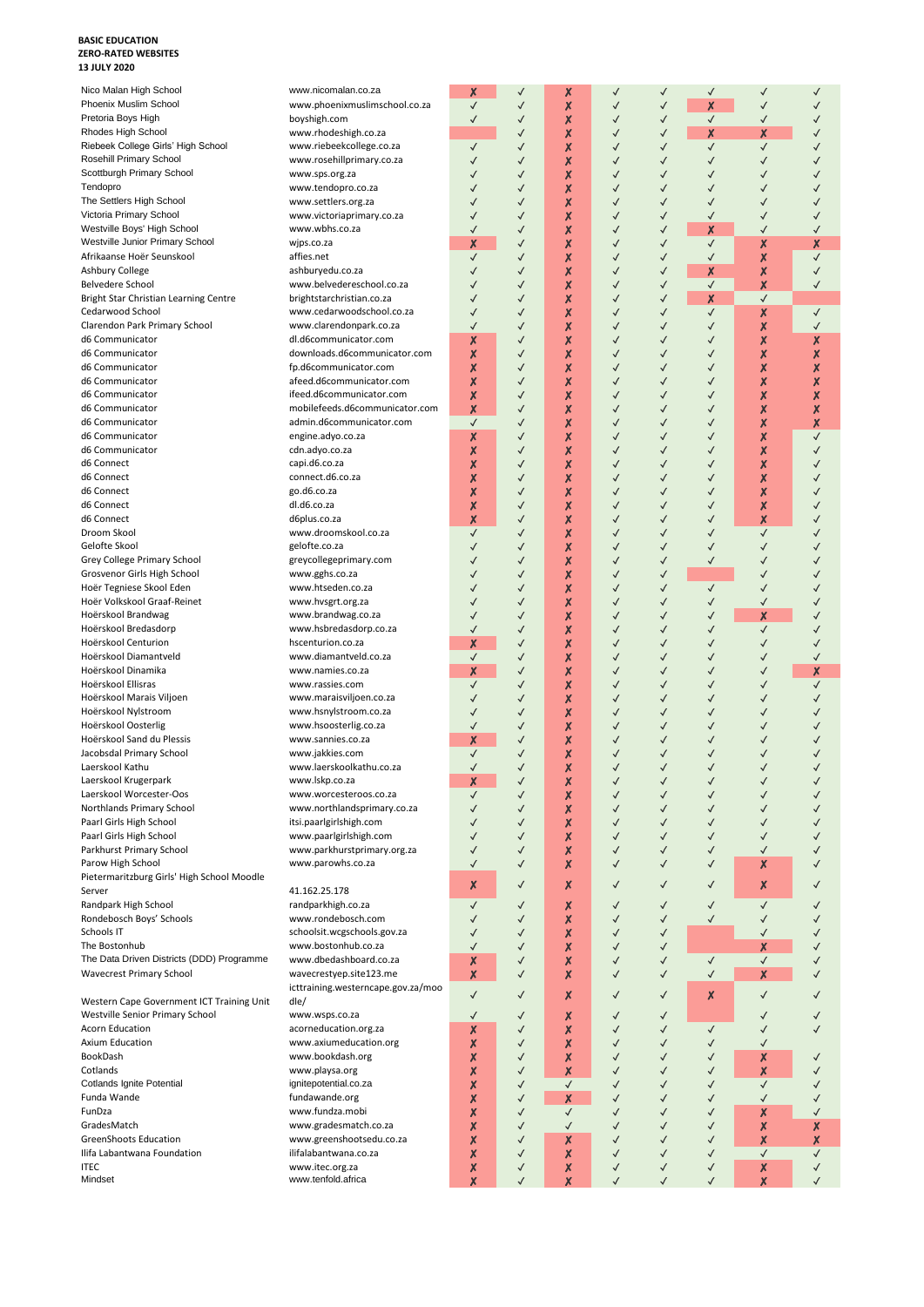Nico Malan High School www.nicomalan.co.za Phoenix Muslim School [www.phoenixmuslimschool.co.za](http://www.phoenixmuslimschool.co.za/) Pretoria Boys High [boyshigh.com](http://boyshigh.com/)<br>Rhodes High School boyshight boyshigh.com Riebeek College Girls' High School [www.riebeekcollege.co.za](http://www.riebeekcollege.co.za/)<br>
Rosehill Primary School www.rosehillprimary.co.za Scottburgh Primary School Tendopro [www.tendopro.co.za](http://www.tendopro.co.za/)<br>
The Settlers High School www.settlers.org.za The Settlers High School<br>Victoria Primary School Westville Boys' High School [www.wbhs.co.za](http://www.wbhs.co.za/) Westville Junior Primary School [wjps.co.za](http://wjps.co.za/) Afrikaanse Hoër Seunskool [affies.net](http://affies.net/) Ashbury College [ashburyedu.co.za](http://ashburyedu.co.za/)<br>
Belvedere School ashburyedu.co.za Bright Star Christian Learning Centre [brightstarchristian.co.za](http://brightstarchristian.co.za/) Cedarwood School [www.cedarwoodschool.co.za](http://www.cedarwoodschool.co.za/) Clarendon Park Primary School [www.clarendonpark.co.za](http://www.clarendonpark.co.za/) d6 Communicator [dl.d6communicator.com](http://dl.d6communicator.com/)<br>d6 Communicator downloads.d6communic d6 Communicator [downloads.d6communicator.com](http://downloads.d6communicator.com/)<br>d6 Communicator downloads.d6communicator.com d6 Communicator [afeed.d6communicator.com](http://afeed.d6communicator.com/) d6 Communicator [ifeed.d6communicator.com](http://ifeed.d6communicator.com/) d6 Communicator [mobilefeeds.d6communicator.com](http://mobilefeeds.d6communicator.com/) d6 Communicator and the communicator [admin.d6communicator.com](http://admin.d6communicator.com/)<br>d6 Communicator and the communicator and the engine.adyo.co.za d6 Communicator d6 Connect [capi.d6.co.za](http://capi.d6.co.za/) d6 Connect [connect.d6.co.za](http://connect.d6.co.za/) d6 Connect [go.d6.co.za](http://go.d6.co.za/)<br>d6 Connect d1.d6.co.za d6 Connect<br>d6 Connect d6 Connect [d6plus.co.za](http://d6plus.co.za/)<br>
Droom Skool d6plus.co.za Gelofte Skool<br>Grey College Primary School example are revealing the green of the general of the general of the general of th Grosvenor Girls High School [www.gghs.co.za](http://www.gghs.co.za/)<br>
Hoër Tegniese Skool Eden www.htseden.co.za Hoër Tegniese Skool Eden [www.htseden.co.za](http://www.htseden.co.za/)<br>
Hoër Volkskool Graaf-Reinet www.hvsgrt.org.za Hoër Volkskool Graaf-Reinet Hoërskool Brandwag [www.brandwag.co.za](http://www.brandwag.co.za/) Hoërskool Bredasdorp [www.hsbredasdorp.co.za](http://www.hsbredasdorp.co.za/) Hoërskool Centurion [hscenturion.co.za](http://hscenturion.co.za/) Hoërskool Diamantveld [www.diamantveld.co.za](http://www.diamantveld.co.za/) Hoërskool Ellisras [www.rassies.com](http://www.rassies.com/) Hoërskool Marais Viljoen [www.maraisviljoen.co.za](http://www.maraisviljoen.co.za/) Hoërskool Oosterlig [www.hsoosterlig.co.za](http://www.hsoosterlig.co.za/) Hoërskool Sand du Plessis [www.sannies.co.za](http://www.sannies.co.za/) Jacobsdal Primary School Laerskool Kathu [www.laerskoolkathu.co.za](http://www.laerskoolkathu.co.za/) Laerskool Krugerpark<br>
Laerskool Worcester-Oos<br>
Laerskool Worcester-Oos Northlands Primary School [www.northlandsprimary.co.za](http://www.northlandsprimary.co.za/) Paarl Girls High School [itsi.paarlgirlshigh.com](http://itsi.paarlgirlshigh.com/) Paarl Girls High School [www.paarlgirlshigh.com](http://www.paarlgirlshigh.com/) Parkhurst Primary School [www.parkhurstprimary.org.za](http://www.parkhurstprimary.org.za/) Parow High School [www.parowhs.co.za](http://www.parowhs.co.za/) Pietermaritzburg Girls' High School Moodle Server 41.162.25.178 Randpark High School [randparkhigh.co.za](http://randparkhigh.co.za/) Rondebosch Boys' Schools [www.rondebosch.com](http://www.rondebosch.com/) Schools IT schools IT schools IT schools it.wcgschools.gov.za<br>The Bostonhub schools between the schools www.bostonhub.co.za The Data Driven Districts (DDD) Programme [www.dbedashboard.co.za](http://www.dbedashboard.co.za/) Wavecrest Primary School [wavecrestyep.site123.me](http://wavecrestyep.site123.me/)

Western Cape Government ICT Training Unit Westville Senior Primary School [www.wsps.co.za](http://www.wsps.co.za/)<br>Acorn Education acorneducation. Axium Education www.axiumeducation.org BookDash www.bookdash.org Cotlands www.playsa.org Cotlands Ignite Potential [ignitepotential.co.za](http://ignitepotential.co.za/) Funda Wande **Fundawande.org**<br>FunDza **Fundational State Fundation**<br>www.fundza.mo GradesMatch www.gradesmatch.co.za GreenShoots Education www.greenshootsedu.co.za Ilifa Labantwana Foundation ilifalabantwana.co.za ITEC www.itec.org.za

www.tenfold.africa

✘ ✓ ✘ ✓ ✓ ✓ ✓  $\times$ ✓ ✓ ✓ ✓  $\boldsymbol{\mathsf{x}}$ ✓ ✓ [www.rhodeshigh.co.za](http://www.rhodeshich.co.za/) ✓ ✘ ✓ ✓ ✓ ✓  $\times$ ✓ ✓ [www.rosehillprimary.co.za](http://www.rosehillprimary.co.za/)<br>www.sps.org.za ✓ ✓  $\boldsymbol{\mathsf{x}}$ ✓ ✓ ✓ ✓ ✘ ✓ ✓ ✓ ✓  $\times$ ✓ ✓ ✓ ✓  $\boldsymbol{\mathsf{x}}$ ✓ ✓ [www.victoriaprimary.co.za](http://www.victoriaprimary.co.za/) ✓ ✓ ✘ ✓ ✓ ✓ ✓  $\times$ ✓ ✓ ✘ ✓  $\boldsymbol{\mathsf{x}}$ ✓ ✓ ✓ ✓ ✘ ✓ ✓ ✓ ✓  $\times$ ✓ ✓ [www.belvedereschool.co.za](http://www.belvedereschool.co.za/) ✓ ✓  $\boldsymbol{\mathsf{x}}$ ✓ ✓ ✓ ✓ ✘ ✓ ✓ ✓ ✓  $\times$ ✓ ✓ ✓ ✓  $\boldsymbol{\mathsf{x}}$ ✓ ✓ ✘ ✓  $\boldsymbol{\mathsf{x}}$ ✓ ✓ ✘ ✓ ✘ ✓ ✓ [fp.d6communicator.com](http://fp.d6communicator.com/) ✘ ✓  $\times$ ✓ ✓ ✘ ✓  $\boldsymbol{\mathsf{x}}$ ✓ ✓ ✘ ✓ ✘ ✓ ✓ ✘ ✓  $\times$ ✓ ✓ ✓ ✓  $\boldsymbol{\mathsf{x}}$ ✓ ✓ [engine.adyo.co.za](http://engine.adyo.co.za/)<br>cdn.adyo.co.za ✘ ✓ ✘ ✓ ✓ ✘ ✓  $\times$ ✓ ✓  $\boldsymbol{\mathsf{x}}$ ✓  $\boldsymbol{\mathsf{x}}$ ✓ ✓ ✘ ✓ ✘ ✓ ✓ ✘ ✓  $\times$ ✓ ✓  $\boldsymbol{\mathsf{x}}$ ✓  $\boldsymbol{\mathsf{x}}$ ✓ ✓ ✘ ✓ ✘ ✓ ✓ [www.droomskool.co.za](http://www.droomskool.co.za/) ✓ ✓  $\times$ ✓ ✓ ✓ ✓  $\boldsymbol{\mathsf{x}}$ ✓ ✓ [greycollegeprimary.com](http://greycollegeprimary.com/) ✓ ✓ ✘ ✓ ✓ ✓ ✓  $\times$ ✓ ✓ ✓ ✓  $\boldsymbol{\mathsf{x}}$ ✓ ✓ ✓ ✓  $\boldsymbol{\mathsf{x}}$ ✓ ✓ ✓ ✓  $\times$ ✓ ✓ ✓ ✓  $\boldsymbol{\mathsf{x}}$ ✓ ✓ ✘ ✓  $\boldsymbol{\mathsf{x}}$ ✓ ✓ ✓ ✓  $\boldsymbol{\mathsf{x}}$ ✓ ✓ [www.namies.co.za](http://www.namies.co.za/) ✘ ✓  $\boldsymbol{\mathsf{x}}$ ✓ ✓ ✓ ✓  $\boldsymbol{\mathsf{x}}$ ✓ ✓ ✓ ✓ ✘ ✓ ✓ [www.hsnylstroom.co.za](http://www.hsnylstroom.co.za/) ✓ ✓  $\boldsymbol{\mathsf{x}}$ ✓ ✓ ✓ ✓  $\boldsymbol{\mathsf{x}}$ ✓ ✓ ✘ ✓ ✘ ✓ ✓ ✓ ✓  $\times$ ✓ ✓ ✓ ✓  $\boldsymbol{\mathsf{x}}$ ✓ ✓ ✘ ✓ ✘ ✓ ✓ [www.worcesteroos.co.za](http://www.worcesteroos.co.za/) ✓ ✓  $\times$ ✓ ✓ ✓ ✓  $\boldsymbol{\mathsf{x}}$ ✓ ✓ ✓ ✓  $\boldsymbol{\mathsf{x}}$ ✓ ✓ ✓ ✓  $\times$ ✓ ✓ ✓ ✓  $\boldsymbol{\mathsf{x}}$ ✓ ✓ ✓ ✓  $\boldsymbol{\mathsf{x}}$ ✓ ✓ ✘ ✓ ✘ ✓ ✓ ✓ ✓  $\boldsymbol{\mathsf{x}}$ ✓ ✓ ✓ ✓  $\times$ ✓ ✓ ✓ ✓  $\boldsymbol{\mathsf{x}}$ ✓ ✓ [www.bostonhub.co.za](http://www.bostonhub.co.za/) ✓ ✓  $\boldsymbol{\mathsf{x}}$ ✓ ✓ ✘ ✓  $\boldsymbol{\mathsf{x}}$ ✓ ✓ ✘ ✓  $\boldsymbol{\mathsf{x}}$ ✓ ✓ [icttraining.westerncape.gov.za/moo](http://icttraining.westerncape.gov.za/moodle/) [dle/](http://icttraining.westerncape.gov.za/moodle/) ✓ ✓ ✘ ✓ ✓ ✓ ✓  $\boldsymbol{\mathsf{x}}$ ✓ ✓ acorneducation.org.za  $\boldsymbol{\mathsf{x}}$ ✓  $\boldsymbol{\mathsf{x}}$ ✓ ✓  $\boldsymbol{\mathsf{x}}$ ✓  $\boldsymbol{\mathsf{x}}$ ✓ ✓  $\boldsymbol{\mathsf{x}}$ ✓  $\boldsymbol{\mathsf{x}}$ ✓ ✓  $\boldsymbol{\mathsf{x}}$ ✓  $\boldsymbol{\mathsf{x}}$ ✓ ✓ ✘ ✓ ✓ ✓ ✓ ✘ ✓ ✘ ✓ ✓ www.fundza.mobi  $\boldsymbol{\mathsf{x}}$ ✓ ✓ ✓ ✓ ✘ ✓ ✓ ✓ ✓ ✘ ✓  $\times$ ✓ ✓  $\boldsymbol{\mathsf{x}}$ ✓  $\boldsymbol{\mathsf{x}}$ ✓ ✓ ✘ ✓  $\boldsymbol{\mathsf{x}}$ ✓ ✓

 $\times$ 

✓

 $\times$ 

✓

✓

✓

✘

✓

✘

✓

✓

✓

✓

✓

✓

✘

✓

✓

✘

✓

✘

✓

✓

✓

✓

✓

✓

✓

✓

✓

✓

✓

✓

✓

✓

✓

✓

✓

✓

✓

✓

✓

✓

✓

✓

✓

✓

✓

✓

✓

✓

✓

✓

✓

✓

✓

✓

✓

✓

✓

✓

✓

✓

✓

✓

✓

✘

✓

✓

✓

✓

✓

✓

✓

✓

✓

✓

✓

✓

✓

✓

 $\overline{a}$ 

✘

✓

✓

✓

✓

✓

✓

✓

✘

✘

✘

✘

✓

✘

✘

✘

✘

✘

✘

✘

✘

✘

✘

✘

✘

✘

✘

✘

✘

✓

✓

✓

✓

✓

✓

✘

✓

✓

✓

✓

✓

✓

✓

✓

✓

✓

✓

✓

✓

✓

✓

✓

✓

✘

✘

✓

✓

✓

✘

✓

✘

✓

✓

✓

✓

✘

✘

✓

✓

 $\boldsymbol{\mathsf{x}}$ 

✘

 $\boldsymbol{\mathsf{x}}$ 

✓

✘

 $\boldsymbol{\mathsf{x}}$ 

✓

✓

✓

✓

✓

✓

✓

✓

✓

✓

✓

✘

✓

✓

✓

✓

✓

 $\boldsymbol{\mathsf{x}}$ 

✘

✘

 $\boldsymbol{\mathsf{x}}$ 

✘

✘

 $\boldsymbol{\mathsf{x}}$ 

✓

✓

✓

✓

✓

✓

✓

✓

✓

✓

✓

✓

✓

✓

✓

✓

✓

✘

✓

✓

✓

✓

✓

✓

✓

✓

✓

✓

✓

✓

✓

✓

✓

✓

✓

✓

✓

✓

✓

✓

✓

✓

✓

✓

✓

✓

✓

 $\boldsymbol{\mathsf{x}}$ 

✘

✓

✓

✓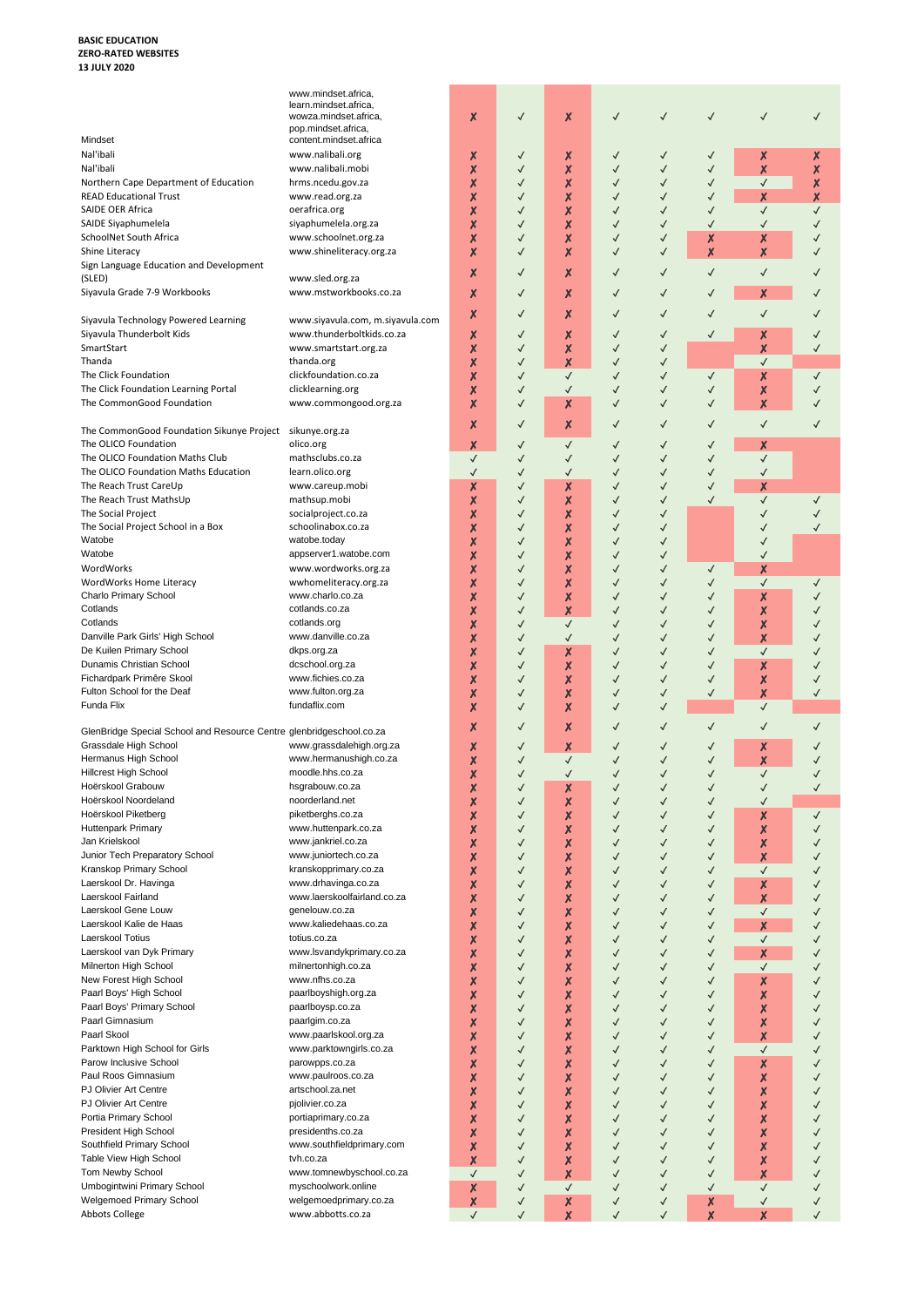|                                                                      | www.mindset.africa,              |              |              |                           |              |   |                           |                           |                  |
|----------------------------------------------------------------------|----------------------------------|--------------|--------------|---------------------------|--------------|---|---------------------------|---------------------------|------------------|
|                                                                      | learn.mindset.africa,            |              |              |                           |              |   |                           |                           |                  |
|                                                                      | wowza.mindset.africa,            | X            | √            | $\boldsymbol{x}$          | √            | √ | √                         | √                         |                  |
|                                                                      | pop.mindset.africa,              |              |              |                           |              |   |                           |                           |                  |
| Mindset                                                              | content.mindset.africa           |              |              |                           |              |   |                           |                           |                  |
| Nal'ibali                                                            | www.nalibali.org                 | X            | ✓            | Х                         | √            | ✓ | √                         | X                         | x                |
| Nal'ibali                                                            | www.nalibali.mobi                | X            | ✓            | X                         | √            | √ | √                         | $\boldsymbol{\mathsf{x}}$ | $\boldsymbol{x}$ |
| Northern Cape Department of Education                                | hrms.ncedu.gov.za                | X            | ✓            | X                         | √            | √ | √                         | √                         | X                |
|                                                                      |                                  |              |              |                           |              |   |                           |                           |                  |
| <b>READ Educational Trust</b>                                        | www.read.org.za                  | X            | $\checkmark$ | X                         | √            | √ | √                         | X                         | X                |
| SAIDE OER Africa                                                     | oerafrica.org                    | X            | ✓            | X                         | √            | √ | √                         | √                         | √                |
| SAIDE Siyaphumelela                                                  | siyaphumelela.org.za             | X            | ✓            | X                         | √            | √ | ✓                         | √                         | ✓                |
| SchoolNet South Africa                                               | www.schoolnet.org.za             | X            | ✓            | X                         | √            | √ | Х                         | X                         | √                |
|                                                                      |                                  |              |              |                           |              |   |                           |                           |                  |
| Shine Literacy                                                       | www.shineliteracy.org.za         | X            | √            | X                         | √            | ✓ | $\boldsymbol{\mathsf{x}}$ | X                         |                  |
| Sign Language Education and Development                              |                                  |              | ✓            | Х                         | √            | ✓ | ✓                         | √                         |                  |
| (SLED)                                                               | www.sled.org.za                  | Х            |              |                           |              |   |                           |                           |                  |
| Siyavula Grade 7-9 Workbooks                                         | www.mstworkbooks.co.za           | X            | ✓            | X                         | ✓            | √ |                           | X                         |                  |
|                                                                      |                                  |              |              |                           |              |   |                           |                           |                  |
|                                                                      |                                  | Х            | ✓            | X                         | √            | √ | √                         | √                         | ✓                |
| Siyavula Technology Powered Learning                                 | www.siyavula.com, m.siyavula.com |              |              |                           |              |   |                           |                           |                  |
| Siyavula Thunderbolt Kids                                            | www.thunderboltkids.co.za        | X            | ✓            | X                         | √            | √ | √                         | X                         | ✓                |
| SmartStart                                                           | www.smartstart.org.za            | X            | ✓            | X                         | √            | √ |                           | X                         | ✓                |
|                                                                      |                                  |              |              |                           |              |   |                           |                           |                  |
| Thanda                                                               | thanda.org                       | X            | ✓            | X                         | √            | √ |                           | √                         |                  |
| The Click Foundation                                                 | clickfoundation.co.za            | X            | ✓            | √                         | √            | √ | √                         | X                         | ✓                |
| The Click Foundation Learning Portal                                 | clicklearning.org                | Х            | ✓            | √                         | √            | √ | √                         | X                         | √                |
| The CommonGood Foundation                                            | www.commongood.org.za            | X            | √            | X                         | √            | √ |                           | X                         |                  |
|                                                                      |                                  |              |              |                           |              |   |                           |                           |                  |
|                                                                      |                                  | Х            | √            | X                         | √            | √ | √                         | $\checkmark$              |                  |
| The CommonGood Foundation Sikunye Project                            | sikunye.org.za                   |              |              |                           |              |   |                           |                           |                  |
| The OLICO Foundation                                                 | olico.org                        | Х            | ✓            | √                         | √            | √ | √                         | X                         |                  |
| The OLICO Foundation Maths Club                                      | mathsclubs.co.za                 | √            | ✓            | √                         | √            | √ | √                         | √                         |                  |
| The OLICO Foundation Maths Education                                 | learn.olico.org                  | √            | √            | √                         | √            | √ | √                         | $\checkmark$              |                  |
|                                                                      |                                  |              |              |                           |              |   |                           |                           |                  |
| The Reach Trust CareUp                                               | www.careup.mobi                  | X            | √            | X                         | √            | √ | √                         | Х                         |                  |
| The Reach Trust MathsUp                                              | mathsup.mobi                     | X            | √            | $\boldsymbol{\mathsf{x}}$ | √            | √ |                           | √                         | ✓                |
| The Social Project                                                   | socialproject.co.za              | X            | ✓            | X                         | √            | √ |                           | √                         |                  |
| The Social Project School in a Box                                   | schoolinabox.co.za               | X            | √            | X                         | √            | √ |                           | √                         | √                |
|                                                                      |                                  |              |              |                           |              |   |                           |                           |                  |
| Watobe                                                               | watobe.today                     | X            | ✓            | X                         | √            | √ |                           | √                         |                  |
| Watobe                                                               | appserver1.watobe.com            | X            | ✓            | X                         | √            | √ |                           | √                         |                  |
| WordWorks                                                            | www.wordworks.org.za             | X            | √            | X                         | √            | √ | √                         | X                         |                  |
| WordWorks Home Literacy                                              | wwhomeliteracy.org.za            | X            | ✓            | X                         | √            | √ | ✓                         | √                         | ✓                |
| Charlo Primary School                                                | www.charlo.co.za                 |              |              |                           |              |   |                           |                           |                  |
|                                                                      |                                  | X            | ✓            | X                         | √            | √ | √                         | X                         | ✓                |
| Cotlands                                                             | cotlands.co.za                   | X            | ✓            | X                         | √            | √ | ✓                         | X                         | ✓                |
| Cotlands                                                             | cotlands.org                     | X            | ✓            | √                         | ✓            | √ | ✓                         | X                         | ✓                |
| Danville Park Girls' High School                                     | www.danville.co.za               | X            | ✓            | √                         | ✓            | √ |                           | X                         | ✓                |
| De Kuilen Primary School                                             | dkps.org.za                      | X            |              | X                         | √            | √ |                           | $\checkmark$              | ✓                |
|                                                                      |                                  |              | √            |                           |              |   | √                         |                           |                  |
| Dunamis Christian School                                             | dcschool.org.za                  | X            |              | X                         | √            | √ | ✓                         | X                         | ✓                |
| Fichardpark Primêre Skool                                            | www.fichies.co.za                | X            | ✓            | X                         | $\checkmark$ | √ | √                         | X                         | √                |
| Fulton School for the Deaf                                           | www.fulton.org.za                | X            | ✓            | X                         | √            | √ | √                         | X                         | √                |
| Funda Flix                                                           | fundaflix.com                    |              |              |                           |              |   |                           |                           |                  |
|                                                                      |                                  | X            | ✓            | X                         | √            | √ |                           | √                         |                  |
|                                                                      |                                  | Х            | ✓            | Х                         | √            | √ | ✓                         | √                         | ✓                |
| GlenBridge Special School and Resource Centre glenbridgeschool.co.za |                                  |              |              |                           |              |   |                           |                           |                  |
| Grassdale High School                                                | www.grassdalehigh.org.za         | Х            | ✓            | χ                         | ✓            | ✓ |                           | Х                         | ✓                |
| Hermanus High School                                                 | www.hermanushigh.co.za           | X            | √            | √                         | ✓            | √ |                           | X                         | √                |
| <b>Hillcrest High School</b>                                         | moodle.hhs.co.za                 | X            |              | ✓                         |              | √ |                           | √                         |                  |
|                                                                      |                                  |              |              |                           |              |   | √                         |                           |                  |
| Hoërskool Grabouw                                                    | hsgrabouw.co.za                  | Х            | $\checkmark$ | Х                         | ✓            | √ | ✓                         | ✓                         | ✓                |
| Hoërskool Noordeland                                                 | noorderland.net                  | X            | ✓            | X                         | √            | √ | $\checkmark$              | √                         |                  |
| Hoërskool Piketberg                                                  | piketberghs.co.za                | Х            | √            | X                         | √            | √ | $\checkmark$              | X                         | ✓                |
| Huttenpark Primary                                                   | www.huttenpark.co.za             |              |              |                           |              |   | √                         |                           | ✓                |
|                                                                      |                                  | X            | ✓            | X                         | √            | √ |                           | X                         |                  |
| Jan Krielskool                                                       | www.jankriel.co.za               | X            | ✓            | X                         | √            | ✓ | √                         | X                         | ✓                |
| Junior Tech Preparatory School                                       | www.juniortech.co.za             | X            | ✓            | X                         | √            | √ | √                         | X                         | ✓                |
| Kranskop Primary School                                              | kranskopprimary.co.za            | X            | ✓            | X                         | ✓            | √ | √                         | $\checkmark$              | √                |
| Laerskool Dr. Havinga                                                | www.drhavinga.co.za              | X            | ✓            | X                         | ✓            | √ |                           |                           | ✓                |
|                                                                      |                                  |              |              |                           |              |   | √                         | X                         |                  |
| Laerskool Fairland                                                   | www.laerskoolfairland.co.za      | X            | ✓            | X                         | ✓            | √ |                           | X                         | √                |
| Laerskool Gene Louw                                                  | genelouw.co.za                   | X            | √            | X                         | √            | √ | √                         | √                         | √                |
| Laerskool Kalie de Haas                                              | www.kaliedehaas.co.za            | X            | ✓            | X                         | ✓            | √ | √                         | X                         | √                |
| Laerskool Totius                                                     | totius.co.za                     | X            | ✓            | X                         | ✓            | √ | √                         | √                         | √                |
| Laerskool van Dyk Primary                                            | www.lsvandykprimary.co.za        |              |              |                           |              |   |                           |                           |                  |
|                                                                      |                                  | Х            | ✓            | X                         | √            | √ | √                         | X                         | √                |
| Milnerton High School                                                | milnertonhigh.co.za              | X            | ✓            | X                         | √            | √ | √                         | √                         | √                |
| New Forest High School                                               | www.nfhs.co.za                   | X            | ✓            | X                         | ✓            | √ | √                         | X                         | ✓                |
| Paarl Boys' High School                                              | paarlboyshigh.org.za             | Х            | √            | X                         | √            | √ | √                         | X                         | ✓                |
|                                                                      |                                  |              |              |                           |              |   |                           |                           |                  |
| Paarl Boys' Primary School                                           | paarlboysp.co.za                 | X            | ✓            | X                         | $\checkmark$ | √ | √                         | X                         | ✓                |
| Paarl Gimnasium                                                      | paarlgim.co.za                   | X            | ✓            | X                         | √            | √ | √                         | X                         | √                |
| Paarl Skool                                                          | www.paarlskool.org.za            | X            | ✓            | X                         | √            | √ | √                         | X                         | ✓                |
| Parktown High School for Girls                                       | www.parktowngirls.co.za          | X            | ✓            | X                         | √            | √ | √                         | $\checkmark$              | √                |
| Parow Inclusive School                                               |                                  |              |              |                           |              |   |                           |                           | ✓                |
|                                                                      | parowpps.co.za                   | X            | ✓            | X                         | √            | √ | √                         | X                         |                  |
| Paul Roos Gimnasium                                                  | www.paulroos.co.za               | X            | ✓            | X                         | √            | √ | √                         | X                         | ✓                |
| PJ Olivier Art Centre                                                | artschool.za.net                 | X            | ✓            | X                         | √            | √ | √                         | X                         | ✓                |
| PJ Olivier Art Centre                                                | pjolivier.co.za                  | X            | √            | X                         | √            | √ | √                         | X                         | √                |
| Portia Primary School                                                | portiaprimary.co.za              | Х            | √            | X                         | √            | √ | ✓                         | X                         | √                |
|                                                                      |                                  |              |              |                           |              |   |                           |                           |                  |
| President High School                                                | presidenths.co.za                | X            | ✓            | X                         | √            | √ | $\checkmark$              | X                         | ✓                |
| Southfield Primary School                                            | www.southfieldprimary.com        | X            | ✓            | X                         | ✓            | √ | ✓                         | X                         | ✓                |
| Table View High School                                               | tvh.co.za                        | X            | ✓            | X                         | ✓            | √ | √                         | X                         | ✓                |
| Tom Newby School                                                     | www.tomnewbyschool.co.za         | √            | √            | X                         | √            | ✓ | √                         | X                         | ✓                |
| Umbogintwini Primary School                                          | myschoolwork.online              |              |              | $\checkmark$              |              |   | $\checkmark$              | √                         | ✓                |
|                                                                      |                                  | Х            | √            |                           | √            | √ |                           |                           |                  |
| <b>Welgemoed Primary School</b>                                      | welgemoedprimary.co.za           | X            | √            | X                         | √            | √ | X                         | √                         | √                |
| <b>Abbots College</b>                                                | www.abbotts.co.za                | $\checkmark$ |              | X                         | √            |   | X                         | X                         | $\checkmark$     |

۳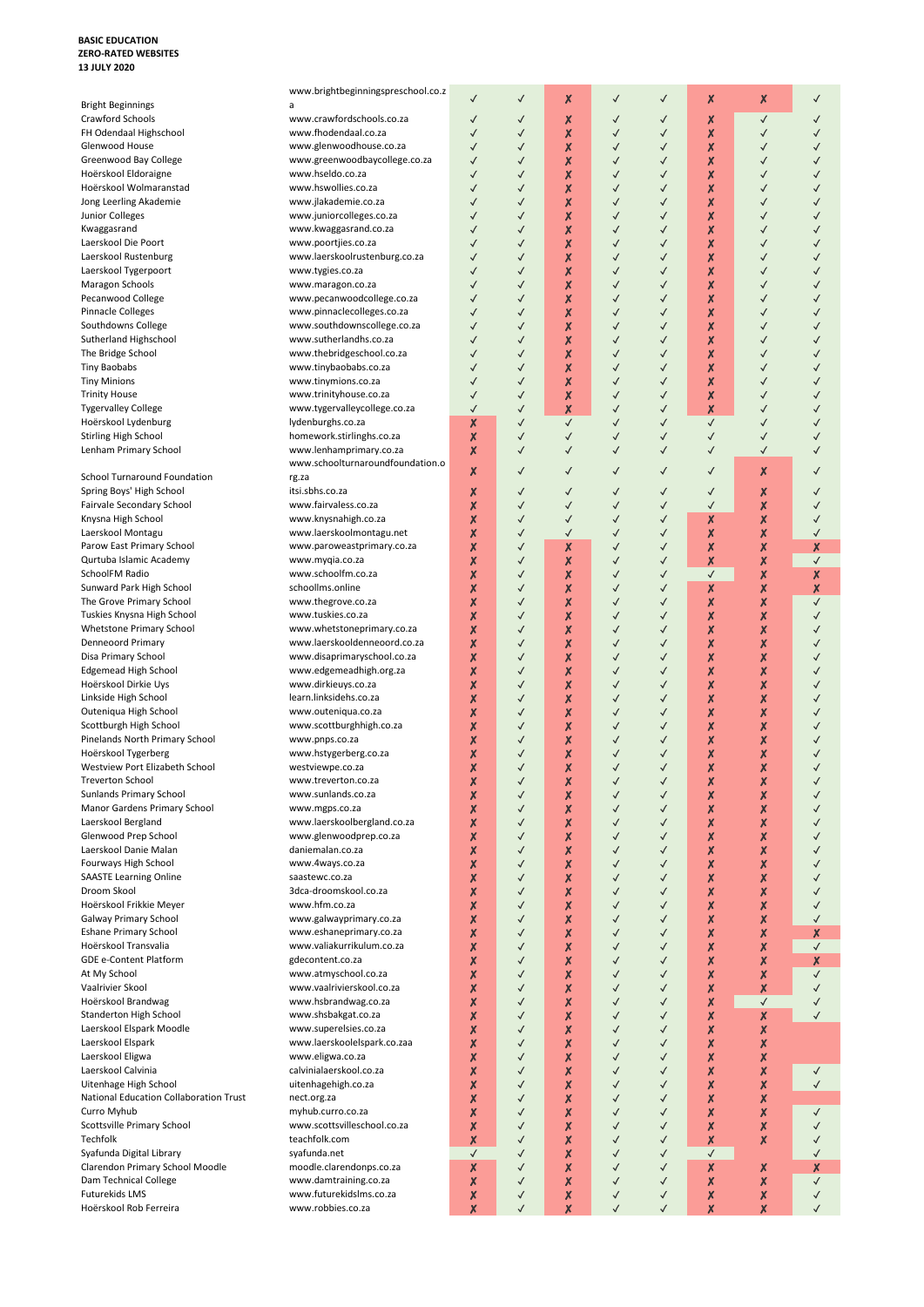a

Bright Beginnings FH Odendaal Highschool www.fhodendaal.co.za Glenwood House example www.glenwoodhouse.co.za<br>Greenwood Bay College example www.greenwoodbaycollege Hoërskool Eldoraigne Hoërskool Wolmaranstad www.hswollies.co.za Jong Leerling Akademie<br>Junior Colleges Kwaggasrand www.kwaggasrand.co.za Laerskool Die Poort www.poortjies.co.za Laerskool Tygerpoort www.tygies.co.za Pinnacle Colleges **WALLACK COLLEGES** www.pinnaclecolleges.co.za Sutherland Highschool www.sutherlandhs.co.za The Bridge School www.thebridgeschool.co.za<br>
Tiny Baobabs<br>
www.tinybaobabs.co.za Tiny Baobabs www.tinybaobabs.co.za Trinity House www.trinityhouse.co.za Hoërskool Lydenburg<br>
Stirling High School **Lydenburghs.co.za**<br>
homework.stirling Stirling High School **[homework.stirlinghs.co.za](http://homework.stirlinghs.co.za/)**<br>
Lenham Primary School **homework.co.za**<br>
www.lenhamprimary.co.za

School Turnaround Foundation Spring Boys' High School itsi.sbhs.co.za<br>
Fairvale Secondary School itsi.sbhs.co.za Fairvale Secondary School<br>Knysna High School Knysna High School www.knysnahigh.co.za Parow East Primary School [www.paroweastprimary.co.za](http://www.paroweastprimary.co.za/) Qurtuba Islamic Academy [www.myqia.co.za](http://www.myqia.co.za/) SchoolFM Radio www.schoolfm.co.za Sunward Park High School School schoollms.online<br>
The Grove Primary School school school sww.thegrove.co.za The Grove Primary School Tuskies Knysna High School www.tuskies.co.za Whetstone Primary School [www.whetstoneprimary.co.za](http://www.whetstoneprimary.co.za/) Denneoord Primary [www.laerskooldenneoord.co.za](http://www.laerskooldenneoord.co.za/) Disa Primary School [www.disaprimaryschool.co.za](http://www.disaprimaryschool.co.za/) Hoërskool Dirkie Uys [www.dirkieuys.co.za](http://www.dirkieuys.co.za/) Linkside High School [learn.linksidehs.co.za](http://learn.linksidehs.co.za/) Outeniqua High School [www.outeniqua.co.za](http://www.outeniqua.co.za/) Scottburgh High School [www.scottburghhigh.co.za](http://www.scottburghhigh.co.za/) Pinelands North Primary School [www.pnps.co.za](http://www.pnps.co.za/)<br>
Hoërskool Tygerberg www.hstygerber Westview Port Elizabeth School [westviewpe.co.za](http://westviewpe.co.za/) Treverton School [www.treverton.co.za](http://www.treverton.co.za/) Sunlands Primary School [www.sunlands.co.za](http://www.sunlands.co.za/) Manor Gardens Primary School [www.mgps.co.za](http://www.mgps.co.za/) Laerskool Bergland www.laerskoolbergland.co.za Glenwood Prep School [www.glenwoodprep.co.za](http://www.glenwoodprep.co.za/) Laerskool Danie Malan [daniemalan.co.za](http://daniemalan.co.za/) Fourways High School [www.4ways.co.za](http://www.4ways.co.za/) SAASTE Learning Online [saastewc.co.za](http://saastewc.co.za/) Droom Skool [3dca-droomskool.co.za](http://www.droomskool.co.za/) Hoërskool Frikkie Meyer [www.hfm.co.za](http://www.hfm.co.za/) Galway Primary School [www.galwayprimary.co.za](http://www.galwayprimary.co.za/)<br>
Eshane Primary School www.eshaneprimary.co.za Eshane Primary School [www.eshaneprimary.co.za](http://www.eshaneprimary.co.za/) GDE e-Content Platform example and proportion and proportional and proportional education and general equation At My School **and School Community** www.atmyschool.co.za Vaalrivier Skool [www.vaalrivierskool.co.za](http://www.vaalrivierskool.co.za/) Hoërskool Brandwag [www.hsbrandwag.co.za](http://www.hsbrandwag.co.za/) Standerton High School [www.shsbakgat.co.za](http://www.shsbakgat.co.za/)<br>
Laerskool Elspark Moodle www.superelsies.co.za Laerskool Elspark Moodle<br>Laerskool Elspark Laerskool Eligwa [www.eligwa.co.za](http://www.eligwa.co.za/) Laerskool Calvinia [calvinialaerskool.co.za](http://calvinialaerskool.co.za/) Uitenhage High School vitenhagehigh.co.za National Education Collaboration Trust [nect.org.za](http://nect.org.za/)<br>Curro Myhub.curi Scottsville Primary School [www.scottsvilleschool.co.za](http://www.scottsvilleschool.co.za/) Techfolk **Techfolk teachfolk.com**<br>Syafunda Digital Library **Syafunda** Digital Library Syafunda Digital Library Clarendon Primary School Moodle [moodle.clarendonps.co.za](http://moodle.clarendonps.co.za/) Dam Technical College www.damtraining.co.za Hoërskool Rob Ferreira www.robbies.co.za

www.brightbeginningspreschool.co.z ✓ www.crawfordschools.co.za ✓ ✓ ✓ www.greenwoodbaycollege.co.za<br>www.hseldo.co.za ✓ ✓ ✓ ✓ Junior Colleges www.juniorcolleges.co.za ✓ ✓ ✓ Laerskool Rustenburg www.laerskoolrustenburg.co.za ✓ ✓ www.maragon.co.za ✓ Pecanwood College www.pecanwoodcollege.co.za ✓ ✓ Southdowns College www.southdownscollege.co.za ✓ ✓ ✓ ✓ www.tinymions.co.za ✓ ✓ Tygervalley College www.tygervalleycollege.co.za ✓ ✘ ✘ [www.lenhamprimary.co.za](http://www.lenhamprimary.co.za/) ✘ [www.schoolturnaroundfoundation.o](http://www.schoolturaroundfoundation.org.za/) [rg.za](http://www.schoolturaroundfoundation.org.za/) ✘ ✘  $\boldsymbol{\mathsf{x}}$ ✘ [www.laerskoolmontagu.net](http://www.laerskoolmontagu.net/) ✘  $\boldsymbol{\mathsf{x}}$ ✘ ✘  $\boldsymbol{\mathsf{x}}$ ✘ ✘  $\boldsymbol{\mathsf{x}}$ ✘  $\times$ [www.edgemeadhigh.org.za](http://www.edgemeadhigh.org.za/)  $\boldsymbol{\mathsf{x}}$ ✘ ✘  $\boldsymbol{\mathsf{x}}$  $\boldsymbol{\mathsf{x}}$ ✘ [www.hstygerberg.co.za](http://www.hstygerberg.co.za/) ✘  $\boldsymbol{\mathsf{x}}$ ✘ ✘  $\boldsymbol{\mathsf{x}}$ ✘ ✘  $\boldsymbol{\mathsf{x}}$ ✘ ✘  $\boldsymbol{\mathsf{x}}$ ✘  $\times$  $\boldsymbol{\mathsf{x}}$ [www.valiakurrikulum.co.za](http://www.valiakurrikulum.co.za/) ✘  $\times$  $\boldsymbol{\mathsf{x}}$  $\boldsymbol{\mathsf{x}}$  $\boldsymbol{\mathsf{x}}$  $\boldsymbol{\mathsf{x}}$  $\boldsymbol{\mathsf{x}}$ www.laerskoolelspark.co.zaa  $\boldsymbol{\mathsf{x}}$  $\boldsymbol{\mathsf{x}}$  $\boldsymbol{\mathsf{x}}$ ✘ ✘ [myhub.curro.co.za](http://myhub.curro.co.za/)  $\boldsymbol{\mathsf{x}}$ ✘ ✘ ✓ ✘  $\times$ [www.futurekidslms.co.za](http://www.futurekidslms.co.za/)  $\boldsymbol{\mathsf{x}}$ ✘

✓ ✘ ✓ ✓ ✘ ✘ ✓ ✓  $\boldsymbol{\mathsf{x}}$ ✓ ✓  $\boldsymbol{\mathsf{x}}$ ✓ ✓ ✓ ✘ ✓ ✓ ✘ ✓ ✓ ✓  $\times$ ✓ ✓  $\times$ ✓ ✓ ✓  $\boldsymbol{\mathsf{x}}$ ✓ ✓  $\boldsymbol{\mathsf{x}}$ ✓ ✓ ✓ ✘ ✓ ✓ ✘ ✓ ✓ ✓  $\times$ ✓ ✓  $\times$ ✓ ✓ ✓  $\boldsymbol{\mathsf{x}}$ ✓ ✓  $\boldsymbol{\mathsf{x}}$ ✓ ✓ ✓ ✘ ✓ ✓ ✘ ✓ ✓ ✓  $\times$ ✓ ✓  $\times$ ✓ ✓ ✓  $\boldsymbol{\mathsf{x}}$ ✓ ✓  $\boldsymbol{\mathsf{x}}$ ✓ ✓ ✓ ✘ ✓ ✓ ✘ ✓ ✓ ✓  $\times$ ✓ ✓  $\times$ ✓ ✓ ✓  $\boldsymbol{\mathsf{x}}$ ✓ ✓  $\boldsymbol{\mathsf{x}}$ ✓ ✓ ✓ ✘ ✓ ✓ ✘ ✓ ✓ ✓  $\times$ ✓ ✓  $\times$ ✓ ✓ ✓  $\boldsymbol{\mathsf{x}}$ ✓ ✓  $\boldsymbol{\mathsf{x}}$ ✓ ✓ ✓  $\boldsymbol{\mathsf{x}}$ ✓ ✓  $\boldsymbol{\mathsf{x}}$ ✓ ✓ ✓ ✘ ✓ ✓ ✘ ✓ ✓ ✓  $\times$ ✓ ✓  $\times$ ✓ ✓ ✓  $\boldsymbol{\mathsf{x}}$ ✓ ✓  $\boldsymbol{\mathsf{x}}$ ✓ ✓ ✓ ✘ ✓ ✓ ✘ ✓ ✓ ✓  $\times$ ✓ ✓  $\times$ ✓ ✓ ✓ ✓ ✓ ✓ ✓ ✓ ✓ ✓ ✓ ✓ ✓ ✓ ✓ ✓ ✓ ✓ ✓ ✓ ✓ ✓ ✓ ✓ ✓ ✓ ✓ ✓ ✘ ✓ ✓ ✓ ✓ ✓ ✓ ✘ ✓ ✓ ✓ ✓ ✓ ✓ ✘ ✓ ✓ ✓ ✓ ✓ ✘ ✘ ✓ ✓ ✓ ✓ ✓  $\times$ ✘ ✓ ✓  $\boldsymbol{\mathsf{x}}$ ✓ ✓  $\boldsymbol{\mathsf{x}}$  $\boldsymbol{\mathsf{x}}$ ✘ ✓ ✘ ✓ ✓ ✘ ✘ ✓ ✓  $\times$ ✓ ✓ ✓ ✘ ✘ ✓  $\boldsymbol{\mathsf{x}}$ ✓ ✓  $\boldsymbol{\mathsf{x}}$  $\boldsymbol{\mathsf{x}}$  $\boldsymbol{\mathsf{x}}$ ✓  $\boldsymbol{\mathsf{x}}$ ✓ ✓ ✘ ✘ ✓ ✓  $\times$ ✓ ✓  $\boldsymbol{\mathsf{x}}$ ✘ ✓ ✓  $\boldsymbol{\mathsf{x}}$ ✓ ✓  $\boldsymbol{\mathsf{x}}$ ✘ ✓ ✓  $\boldsymbol{\mathsf{x}}$ ✓ ✓  $\boldsymbol{\mathsf{x}}$ ✘ ✓ ✓  $\boldsymbol{\mathsf{x}}$ ✓ ✓  $\boldsymbol{\mathsf{x}}$  $\boldsymbol{\mathsf{x}}$ ✓ ✓  $\boldsymbol{\mathsf{x}}$ ✓ ✓  $\boldsymbol{\mathsf{x}}$  $\boldsymbol{\mathsf{x}}$ ✓ ✓  $\boldsymbol{\mathsf{x}}$ ✓ ✓  $\boldsymbol{\mathsf{x}}$ ✘ ✓ ✓ ✘ ✓ ✓ ✘ ✘ ✓ ✓  $\boldsymbol{\mathsf{x}}$ ✓ ✓  $\boldsymbol{\mathsf{x}}$  $\boldsymbol{\mathsf{X}}$ ✓ ✓  $\boldsymbol{\mathsf{x}}$ ✓ ✓  $\boldsymbol{\mathsf{x}}$ ✘ ✓ ✓ ✘ ✓ ✓ ✘ ✘ ✓ ✓  $\times$ ✓ ✓  $\times$ ✘ ✓ ✓  $\boldsymbol{\mathsf{x}}$ ✓ ✓  $\boldsymbol{\mathsf{x}}$ ✘ ✓ ✓ ✘ ✓ ✓ ✘ ✘ ✓ ✓  $\times$ ✓ ✓  $\times$ ✘ ✓ ✓  $\boldsymbol{\mathsf{x}}$ ✓ ✓  $\boldsymbol{\mathsf{x}}$  $\boldsymbol{\mathsf{x}}$ ✓ ✓ ✘ ✓ ✓ ✘ ✘ ✓ ✓  $\times$ ✓ ✓  $\times$  $\boldsymbol{\mathsf{x}}$ ✓ ✓  $\boldsymbol{\mathsf{x}}$ ✓ ✓  $\boldsymbol{\mathsf{x}}$ ✘ ✓ ✓  $\boldsymbol{\mathsf{x}}$ ✓ ✓  $\boldsymbol{\mathsf{x}}$ ✘ ✓ ✓  $\times$ ✓ ✓  $\boldsymbol{\mathsf{x}}$ ✘ ✓ ✓  $\boldsymbol{\mathsf{x}}$ ✓ ✓  $\boldsymbol{\mathsf{x}}$  $\boldsymbol{\mathsf{X}}$ ✓ ✓  $\boldsymbol{\mathsf{x}}$ ✓ ✓  $\boldsymbol{\mathsf{x}}$ ✘ ✓ ✓  $\times$ ✓ ✓  $\boldsymbol{\mathsf{x}}$  $\boldsymbol{\mathsf{x}}$ ✓ ✓  $\boldsymbol{\mathsf{x}}$ ✓ ✓  $\boldsymbol{\mathsf{x}}$  $\boldsymbol{\mathsf{X}}$  $\boldsymbol{\mathsf{x}}$ ✓  $\boldsymbol{\mathsf{x}}$ ✓ ✓  $\boldsymbol{\mathsf{x}}$ ✘ ✓ ✓  $\boldsymbol{\mathsf{x}}$ ✓ ✓  $\boldsymbol{\mathsf{x}}$  $\boldsymbol{\mathsf{x}}$ ✘ ✓  $\boldsymbol{\mathsf{x}}$ ✓ ✓  $\boldsymbol{\mathsf{x}}$  $\boldsymbol{\mathsf{X}}$ ✓ ✓  $\boldsymbol{\mathsf{x}}$ ✓ ✓  $\boldsymbol{\mathsf{x}}$ ✘ ✓ ✓  $\boldsymbol{\mathsf{x}}$ ✓ ✓  $\boldsymbol{\mathsf{x}}$ ✓ ✓ ✓  $\boldsymbol{\mathsf{x}}$ ✓ ✓  $\boldsymbol{\mathsf{x}}$  $\boldsymbol{\mathsf{X}}$ ✓ ✓  $\boldsymbol{\mathsf{x}}$ ✓ ✓  $\boldsymbol{\mathsf{x}}$  $\boldsymbol{\mathsf{x}}$ ✓  $\boldsymbol{\mathsf{x}}$ ✓ ✓  $\boldsymbol{\mathsf{x}}$  $\boldsymbol{\mathsf{x}}$ ✓  $\boldsymbol{\mathsf{x}}$ ✓ ✓  $\boldsymbol{\mathsf{x}}$  $\boldsymbol{\mathsf{X}}$ ✓  $\boldsymbol{\mathsf{x}}$ ✓ ✓  $\boldsymbol{\mathsf{x}}$  $\boldsymbol{\mathsf{x}}$ ✓ ✓  $\boldsymbol{\mathsf{x}}$ ✓ ✓  $\boldsymbol{\mathsf{x}}$ ✘ ✓ ✓  $\times$ ✓ ✓  $\times$  $\boldsymbol{\mathsf{x}}$ ✓  $\boldsymbol{\mathsf{x}}$ ✓ ✓  $\boldsymbol{\mathsf{x}}$  $\boldsymbol{\mathsf{x}}$ ✓ ✓  $\boldsymbol{\mathsf{x}}$ ✓ ✓  $\boldsymbol{\mathsf{x}}$ ✘ ✓ ✓  $\times$ ✓ ✓  $\boldsymbol{\mathsf{x}}$  $\boldsymbol{\mathsf{x}}$ ✓ ✓  $\boldsymbol{\mathsf{x}}$ ✓ ✓ ✓ ✓ ✓  $\boldsymbol{\mathsf{x}}$ ✓ ✓  $\boldsymbol{\mathsf{x}}$ ✘  $\boldsymbol{\mathsf{x}}$ ✓  $\times$ ✓ ✓  $\boldsymbol{\mathsf{x}}$  $\boldsymbol{\mathsf{x}}$ ✓ ✓  $\boldsymbol{\mathsf{x}}$ ✓ ✓  $\boldsymbol{\mathsf{x}}$  $\boldsymbol{\mathsf{x}}$ ✓ ✓  $\boldsymbol{\mathsf{x}}$ ✓ ✓  $\boldsymbol{\mathsf{x}}$ ✘ ✓